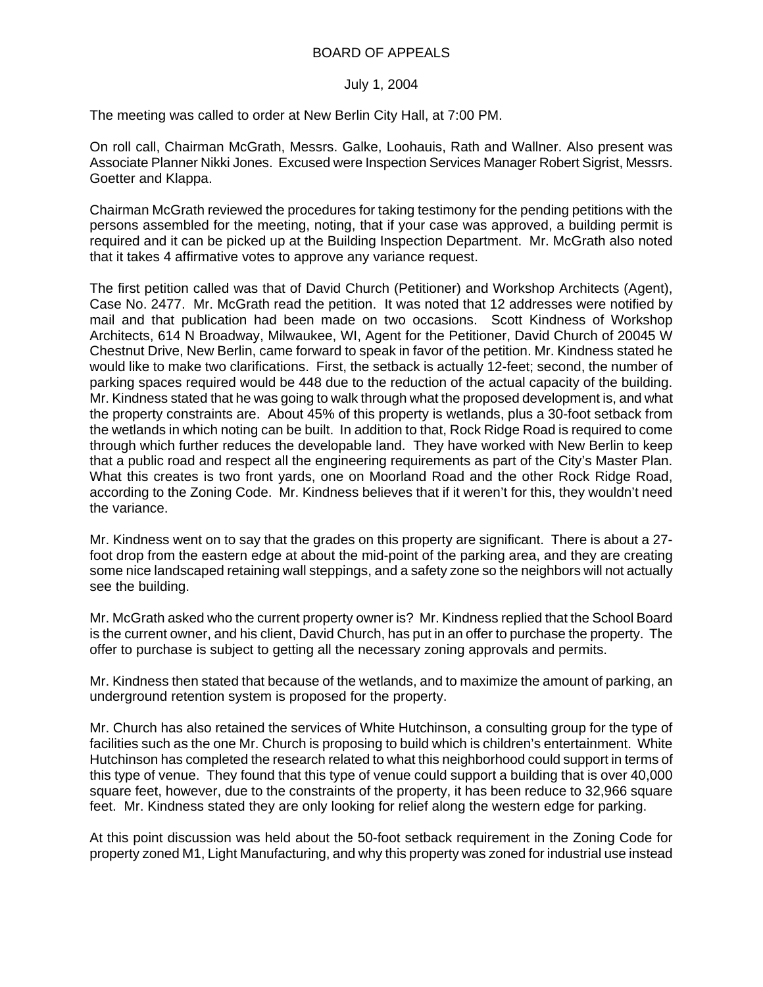## BOARD OF APPEALS

## July 1, 2004

The meeting was called to order at New Berlin City Hall, at 7:00 PM.

On roll call, Chairman McGrath, Messrs. Galke, Loohauis, Rath and Wallner. Also present was Associate Planner Nikki Jones. Excused were Inspection Services Manager Robert Sigrist, Messrs. Goetter and Klappa.

Chairman McGrath reviewed the procedures for taking testimony for the pending petitions with the persons assembled for the meeting, noting, that if your case was approved, a building permit is required and it can be picked up at the Building Inspection Department. Mr. McGrath also noted that it takes 4 affirmative votes to approve any variance request.

The first petition called was that of David Church (Petitioner) and Workshop Architects (Agent), Case No. 2477. Mr. McGrath read the petition. It was noted that 12 addresses were notified by mail and that publication had been made on two occasions. Scott Kindness of Workshop Architects, 614 N Broadway, Milwaukee, WI, Agent for the Petitioner, David Church of 20045 W Chestnut Drive, New Berlin, came forward to speak in favor of the petition. Mr. Kindness stated he would like to make two clarifications. First, the setback is actually 12-feet; second, the number of parking spaces required would be 448 due to the reduction of the actual capacity of the building. Mr. Kindness stated that he was going to walk through what the proposed development is, and what the property constraints are. About 45% of this property is wetlands, plus a 30-foot setback from the wetlands in which noting can be built. In addition to that, Rock Ridge Road is required to come through which further reduces the developable land. They have worked with New Berlin to keep that a public road and respect all the engineering requirements as part of the City's Master Plan. What this creates is two front yards, one on Moorland Road and the other Rock Ridge Road, according to the Zoning Code. Mr. Kindness believes that if it weren't for this, they wouldn't need the variance.

Mr. Kindness went on to say that the grades on this property are significant. There is about a 27 foot drop from the eastern edge at about the mid-point of the parking area, and they are creating some nice landscaped retaining wall steppings, and a safety zone so the neighbors will not actually see the building.

Mr. McGrath asked who the current property owner is? Mr. Kindness replied that the School Board is the current owner, and his client, David Church, has put in an offer to purchase the property. The offer to purchase is subject to getting all the necessary zoning approvals and permits.

Mr. Kindness then stated that because of the wetlands, and to maximize the amount of parking, an underground retention system is proposed for the property.

Mr. Church has also retained the services of White Hutchinson, a consulting group for the type of facilities such as the one Mr. Church is proposing to build which is children's entertainment. White Hutchinson has completed the research related to what this neighborhood could support in terms of this type of venue. They found that this type of venue could support a building that is over 40,000 square feet, however, due to the constraints of the property, it has been reduce to 32,966 square feet. Mr. Kindness stated they are only looking for relief along the western edge for parking.

At this point discussion was held about the 50-foot setback requirement in the Zoning Code for property zoned M1, Light Manufacturing, and why this property was zoned for industrial use instead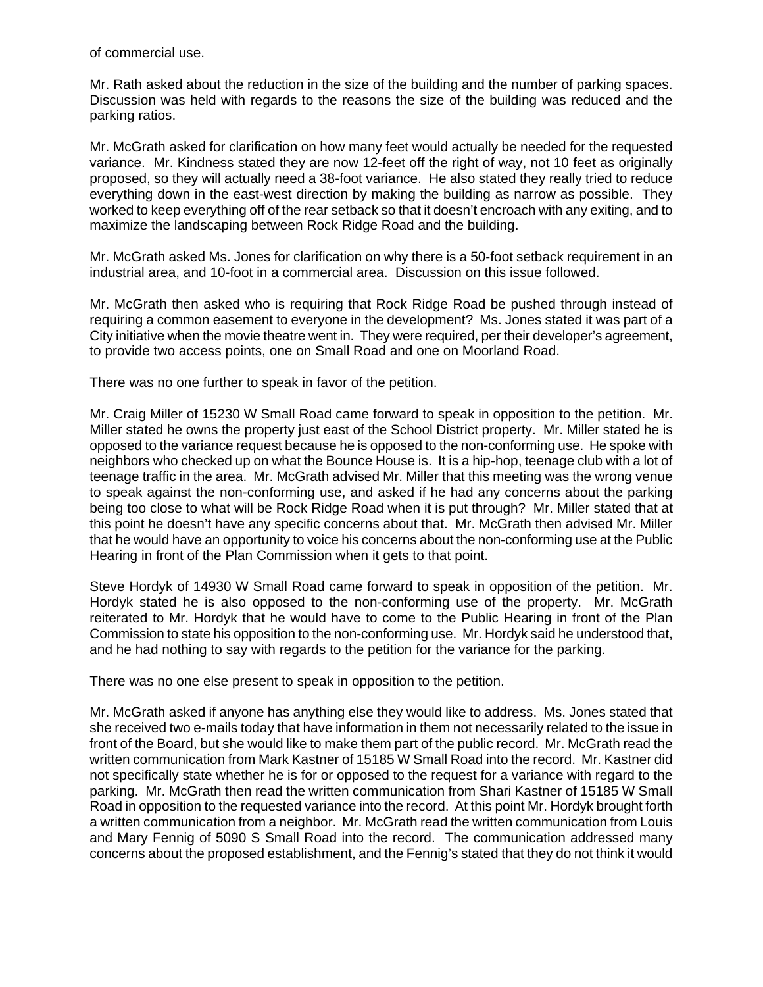of commercial use.

Mr. Rath asked about the reduction in the size of the building and the number of parking spaces. Discussion was held with regards to the reasons the size of the building was reduced and the parking ratios.

Mr. McGrath asked for clarification on how many feet would actually be needed for the requested variance. Mr. Kindness stated they are now 12-feet off the right of way, not 10 feet as originally proposed, so they will actually need a 38-foot variance. He also stated they really tried to reduce everything down in the east-west direction by making the building as narrow as possible. They worked to keep everything off of the rear setback so that it doesn't encroach with any exiting, and to maximize the landscaping between Rock Ridge Road and the building.

Mr. McGrath asked Ms. Jones for clarification on why there is a 50-foot setback requirement in an industrial area, and 10-foot in a commercial area. Discussion on this issue followed.

Mr. McGrath then asked who is requiring that Rock Ridge Road be pushed through instead of requiring a common easement to everyone in the development? Ms. Jones stated it was part of a City initiative when the movie theatre went in. They were required, per their developer's agreement, to provide two access points, one on Small Road and one on Moorland Road.

There was no one further to speak in favor of the petition.

Mr. Craig Miller of 15230 W Small Road came forward to speak in opposition to the petition. Mr. Miller stated he owns the property just east of the School District property. Mr. Miller stated he is opposed to the variance request because he is opposed to the non-conforming use. He spoke with neighbors who checked up on what the Bounce House is. It is a hip-hop, teenage club with a lot of teenage traffic in the area. Mr. McGrath advised Mr. Miller that this meeting was the wrong venue to speak against the non-conforming use, and asked if he had any concerns about the parking being too close to what will be Rock Ridge Road when it is put through? Mr. Miller stated that at this point he doesn't have any specific concerns about that. Mr. McGrath then advised Mr. Miller that he would have an opportunity to voice his concerns about the non-conforming use at the Public Hearing in front of the Plan Commission when it gets to that point.

Steve Hordyk of 14930 W Small Road came forward to speak in opposition of the petition. Mr. Hordyk stated he is also opposed to the non-conforming use of the property. Mr. McGrath reiterated to Mr. Hordyk that he would have to come to the Public Hearing in front of the Plan Commission to state his opposition to the non-conforming use. Mr. Hordyk said he understood that, and he had nothing to say with regards to the petition for the variance for the parking.

There was no one else present to speak in opposition to the petition.

Mr. McGrath asked if anyone has anything else they would like to address. Ms. Jones stated that she received two e-mails today that have information in them not necessarily related to the issue in front of the Board, but she would like to make them part of the public record. Mr. McGrath read the written communication from Mark Kastner of 15185 W Small Road into the record. Mr. Kastner did not specifically state whether he is for or opposed to the request for a variance with regard to the parking. Mr. McGrath then read the written communication from Shari Kastner of 15185 W Small Road in opposition to the requested variance into the record. At this point Mr. Hordyk brought forth a written communication from a neighbor. Mr. McGrath read the written communication from Louis and Mary Fennig of 5090 S Small Road into the record. The communication addressed many concerns about the proposed establishment, and the Fennig's stated that they do not think it would